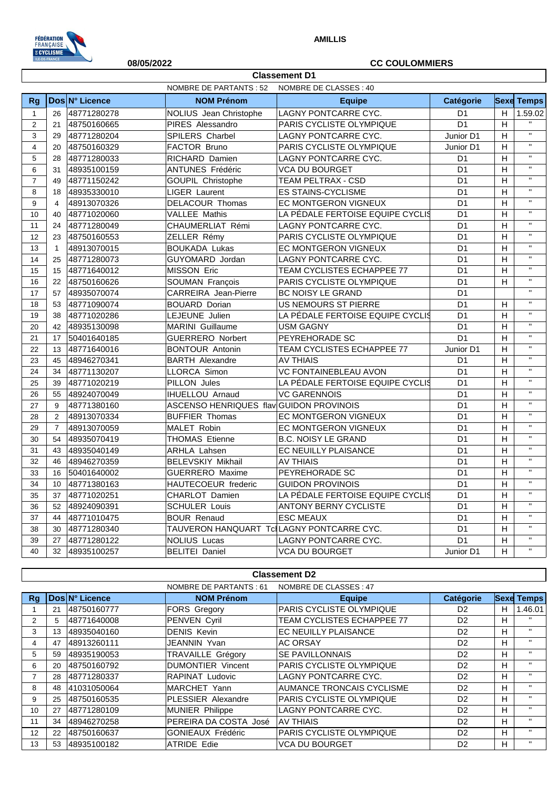

## **08/05/2022 CC COULOMMIERS**

|                | <b>Classement D1</b> |                |                                           |                                  |                 |                           |                           |  |
|----------------|----------------------|----------------|-------------------------------------------|----------------------------------|-----------------|---------------------------|---------------------------|--|
|                |                      |                | NOMBRE DE PARTANTS : 52                   | NOMBRE DE CLASSES : 40           |                 |                           |                           |  |
| Rg             |                      | Dos N° Licence | <b>NOM Prénom</b>                         | <b>Equipe</b>                    | Catégorie       |                           | <b>Sexe Temps</b>         |  |
| $\mathbf{1}$   | 26                   | 48771280278    | NOLIUS Jean Christophe                    | LAGNY PONTCARRE CYC.             | D <sub>1</sub>  | H                         | 1.59.02                   |  |
| $\overline{2}$ | 21                   | 48750160665    | PIRES Alessandro                          | PARIS CYCLISTE OLYMPIQUE         | D <sub>1</sub>  | $\boldsymbol{\mathsf{H}}$ | $\bar{\mathbf{H}}$        |  |
| 3              | 29                   | 48771280204    | SPILERS Charbel                           | LAGNY PONTCARRE CYC.             | Junior D1       | H                         | $\mathbf{H}$              |  |
| 4              | 20                   | 48750160329    | FACTOR Bruno                              | PARIS CYCLISTE OLYMPIQUE         | Junior D1       | Н                         | $\mathbf{H}$              |  |
| 5              | 28                   | 48771280033    | RICHARD Damien                            | LAGNY PONTCARRE CYC.             | D <sub>1</sub>  | H                         | $\bar{\mathbf{u}}$        |  |
| 6              | 31                   | 48935100159    | <b>ANTUNES Frédéric</b>                   | <b>VCA DU BOURGET</b>            | D <sub>1</sub>  | H                         | $\bar{\mathbf{u}}$        |  |
| $\overline{7}$ | 49                   | 48771150242    | <b>GOUPIL Christophe</b>                  | TEAM PELTRAX - CSD               | D <sub>1</sub>  | H                         | $\bar{\mathbf{H}}$        |  |
| 8              | 18                   | 48935330010    | <b>LIGER Laurent</b>                      | <b>ES STAINS-CYCLISME</b>        | D <sub>1</sub>  | H                         | $\mathbf{H}$              |  |
| 9              | $\overline{4}$       | 48913070326    | <b>DELACOUR Thomas</b>                    | <b>EC MONTGERON VIGNEUX</b>      | D <sub>1</sub>  | H                         | $\mathbf{H}$              |  |
| 10             | 40                   | 48771020060    | <b>VALLEE Mathis</b>                      | LA PÉDALE FERTOISE EQUIPE CYCLIS | D <sub>1</sub>  | H                         | $\mathbf{H}$              |  |
| 11             | 24                   | 48771280049    | CHAUMERLIAT Rémi                          | LAGNY PONTCARRE CYC.             | D <sub>1</sub>  | Н                         | $\mathbf{H}$              |  |
| 12             | 23                   | 48750160553    | ZELLER Rémy                               | PARIS CYCLISTE OLYMPIQUE         | D <sub>1</sub>  | H                         | $\bar{\mathbf{u}}$        |  |
| 13             | $\mathbf{1}$         | 48913070015    | <b>BOUKADA Lukas</b>                      | EC MONTGERON VIGNEUX             | D <sub>1</sub>  | H                         | $\mathbf{u}$              |  |
| 14             | 25                   | 48771280073    | GUYOMARD Jordan                           | LAGNY PONTCARRE CYC.             | D <sub>1</sub>  | H                         | $\bar{\mathbf{u}}$        |  |
| 15             | 15                   | 48771640012    | <b>MISSON Eric</b>                        | TEAM CYCLISTES ECHAPPEE 77       | D <sub>1</sub>  | H                         | $\mathbf{H}$              |  |
| 16             | 22                   | 48750160626    | SOUMAN François                           | PARIS CYCLISTE OLYMPIQUE         | D <sub>1</sub>  | H                         | $\mathbf{H}$              |  |
| 17             | 57                   | 48935070074    | CARREIRA Jean-Pierre                      | BC NOISY LE GRAND                | D <sub>1</sub>  |                           | $\mathbf{H}$              |  |
| 18             | 53                   | 48771090074    | <b>BOUARD Dorian</b>                      | US NEMOURS ST PIERRE             | D <sub>1</sub>  | H                         | $\mathbf{H}$              |  |
| 19             | 38                   | 48771020286    | LEJEUNE Julien                            | LA PÉDALE FERTOISE EQUIPE CYCLIS | D <sub>1</sub>  | H                         | $\mathbf{H}$              |  |
| 20             | 42                   | 48935130098    | <b>MARINI</b> Guillaume                   | <b>USM GAGNY</b>                 | D <sub>1</sub>  | H                         | $\mathbf{u}$              |  |
| 21             | 17                   | 50401640185    | <b>GUERRERO Norbert</b>                   | PEYREHORADE SC                   | D <sub>1</sub>  | H                         | $\mathbf{H}$              |  |
| 22             | 13                   | 48771640016    | <b>BONTOUR Antonin</b>                    | TEAM CYCLISTES ECHAPPEE 77       | Junior D1       | H                         | $\mathbf{u}$              |  |
| 23             | 45                   | 48946270341    | <b>BARTH Alexandre</b>                    | <b>AV THIAIS</b>                 | D <sub>1</sub>  | H                         | $\mathbf{H}$              |  |
| 24             | 34                   | 48771130207    | LLORCA Simon                              | VC FONTAINEBLEAU AVON            | D <sub>1</sub>  | Н                         | $\mathbf{H}$              |  |
| 25             | 39                   | 48771020219    | PILLON Jules                              | LA PÉDALE FERTOISE EQUIPE CYCLIS | D <sub>1</sub>  | H                         | $\mathbf{H}$              |  |
| 26             | 55                   | 48924070049    | <b>IHUELLOU Arnaud</b>                    | <b>VC GARENNOIS</b>              | D <sub>1</sub>  | H                         | $\boldsymbol{\mathsf{H}}$ |  |
| 27             | 9                    | 48771380160    | ASCENSO HENRIQUES flav GUIDON PROVINOIS   |                                  | D <sub>1</sub>  | H                         | $\mathbf{u}$              |  |
| 28             | 2                    | 48913070334    | <b>BUFFIER Thomas</b>                     | EC MONTGERON VIGNEUX             | D <sub>1</sub>  | H                         | $\bar{\mathbf{u}}$        |  |
| 29             | $\overline{7}$       | 48913070059    | <b>MALET Robin</b>                        | <b>EC MONTGERON VIGNEUX</b>      | D <sub>1</sub>  | H                         | $\mathbf{u}$              |  |
| 30             | 54                   | 48935070419    | <b>THOMAS Etienne</b>                     | <b>B.C. NOISY LE GRAND</b>       | D <sub>1</sub>  | H                         | $\mathbf{H}$              |  |
| 31             | 43                   | 48935040149    | <b>ARHLA Lahsen</b>                       | EC NEUILLY PLAISANCE             | D <sub>1</sub>  | Н                         | $\mathbf{u}$              |  |
| 32             | 46                   | 48946270359    | BELEVSKIY Mikhail                         | <b>AV THIAIS</b>                 | D <sub>1</sub>  | H                         | $\mathbf{H}$              |  |
| 33             | 16                   | 50401640002    | <b>GUERRERO</b> Maxime                    | PEYREHORADE SC                   | D <sub>1</sub>  | Н                         | $\mathbf{H}$              |  |
| 34             | 10                   | 48771380163    | HAUTECOEUR frederic                       | <b>GUIDON PROVINOIS</b>          | D <sub>1</sub>  | H                         | $\bar{\mathbf{u}}$        |  |
| 35             | 37                   | 48771020251    | CHARLOT Damien                            | LA PÉDALE FERTOISE EQUIPE CYCLIS | D <sub>1</sub>  | H                         | $\overline{u}$            |  |
| 36             | 52                   | 48924090391    | <b>SCHULER Louis</b>                      | <b>ANTONY BERNY CYCLISTE</b>     | D <sub>1</sub>  | H                         | $\bar{\mathbf{u}}$        |  |
| 37             | 44                   | 48771010475    | <b>BOUR Renaud</b>                        | <b>ESC MEAUX</b>                 | D <sub>1</sub>  | H                         | $\mathbf{H}$              |  |
| 38             | 30                   | 48771280340    | TAUVERON HANQUART TclLAGNY PONTCARRE CYC. |                                  | $\overline{D1}$ | H                         | $\bar{\mathbf{H}}$        |  |
| 39             | 27                   | 48771280122    | <b>NOLIUS Lucas</b>                       | LAGNY PONTCARRE CYC.             | D <sub>1</sub>  | H                         | $\mathbf{H}$              |  |
| 40             | 32                   | 48935100257    | <b>BELITEI Daniel</b>                     | <b>VCA DU BOURGET</b>            | Junior D1       | $\overline{H}$            | $\overline{u}$            |  |

|                | <b>Classement D2</b> |                |                          |                                   |                |    |                   |  |
|----------------|----------------------|----------------|--------------------------|-----------------------------------|----------------|----|-------------------|--|
|                |                      |                | NOMBRE DE PARTANTS : 61  | NOMBRE DE CLASSES : 47            |                |    |                   |  |
| Rq             |                      | Dos N° Licence | <b>NOM Prénom</b>        | <b>Equipe</b>                     | Catégorie      |    | <b>Sexe Temps</b> |  |
|                | 21                   | 48750160777    | <b>FORS Gregory</b>      | PARIS CYCLISTE OLYMPIQUE          | D <sub>2</sub> | H  | 1.46.01           |  |
| $\overline{2}$ | 5.                   | 48771640008    | PENVEN Cyril             | <b>TEAM CYCLISTES ECHAPPEE 77</b> | D <sub>2</sub> | H  | $\mathbf{H}$      |  |
| 3              | 13                   | 48935040160    | <b>DENIS Kevin</b>       | <b>EC NEUILLY PLAISANCE</b>       | D <sub>2</sub> | H  | $\mathbf{H}$      |  |
| 4              | 47                   | 48913260111    | JEANNIN Yvan             | <b>AC ORSAY</b>                   | D <sub>2</sub> | H  | $\mathbf{H}$      |  |
| 5              | 59                   | 48935190053    | <b>TRAVAILLE Grégory</b> | <b>SE PAVILLONNAIS</b>            | D <sub>2</sub> | H  | $\mathbf{H}$      |  |
| 6              | 20                   | 48750160792    | <b>DUMONTIER Vincent</b> | PARIS CYCLISTE OLYMPIQUE          | D <sub>2</sub> | H  | $\mathbf{H}$      |  |
|                | 28                   | 48771280337    | <b>RAPINAT Ludovic</b>   | LAGNY PONTCARRE CYC.              | D <sub>2</sub> | н  | $\mathbf{H}$      |  |
| 8              | 48                   | 41031050064    | MARCHET Yann             | AUMANCE TRONCAIS CYCLISME         | D <sub>2</sub> | H. | $\mathbf{H}$      |  |
| 9              | 25                   | 48750160535    | PLESSIER Alexandre       | PARIS CYCLISTE OLYMPIQUE          | D <sub>2</sub> | H  | $\mathbf{H}$      |  |
| 10             | 27                   | 48771280109    | MUNIER Philippe          | LAGNY PONTCARRE CYC.              | D <sub>2</sub> | H  | $\mathbf{H}$      |  |
| 11             | 34                   | 48946270258    | PEREIRA DA COSTA José    | <b>AV THIAIS</b>                  | D <sub>2</sub> | H  | $\mathbf{H}$      |  |
| 12             | 22                   | 48750160637    | <b>GONIEAUX Frédéric</b> | PARIS CYCLISTE OLYMPIQUE          | D <sub>2</sub> | H  | $\mathbf{H}$      |  |
| 13             | 53                   | 48935100182    | <b>ATRIDE Edie</b>       | <b>VCA DU BOURGET</b>             | D <sub>2</sub> | H  | $\mathbf{H}$      |  |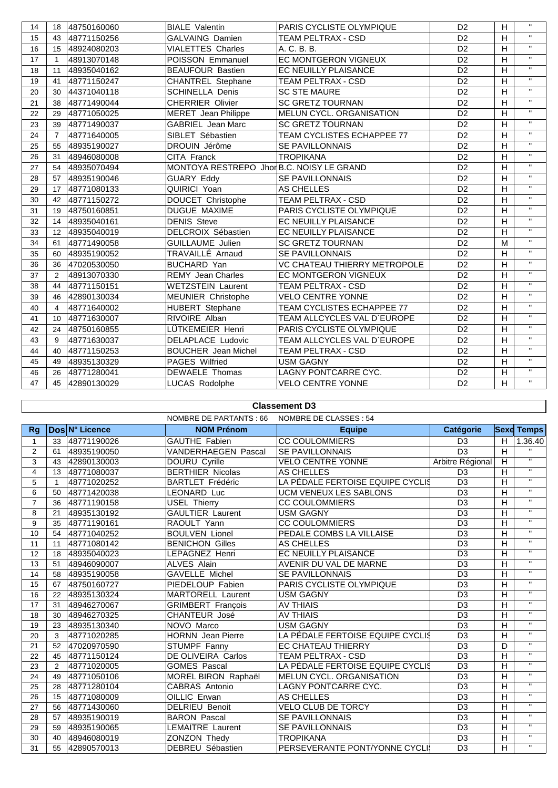| 14 | 18             | 48750160060 | <b>BIALE Valentin</b>                     | PARIS CYCLISTE OLYMPIQUE          | D <sub>2</sub>  | H | $\mathbf{H}$            |
|----|----------------|-------------|-------------------------------------------|-----------------------------------|-----------------|---|-------------------------|
| 15 | 43             | 48771150256 | GALVAING Damien                           | TEAM PELTRAX - CSD                | D <sub>2</sub>  | H | $\mathbf{H}$            |
| 16 | 15             | 48924080203 | <b>VIALETTES Charles</b>                  | A. C. B. B.                       | D <sub>2</sub>  | H | $\mathbf{H}$            |
| 17 | $\mathbf{1}$   | 48913070148 | POISSON Emmanuel                          | EC MONTGERON VIGNEUX              | D <sub>2</sub>  | H | $\mathbf{H}$            |
| 18 | 11             | 48935040162 | <b>BEAUFOUR Bastien</b>                   | <b>EC NEUILLY PLAISANCE</b>       | D <sub>2</sub>  | H | $\mathbf{H}$            |
| 19 | 41             | 48771150247 | <b>CHANTREL Stephane</b>                  | <b>TEAM PELTRAX - CSD</b>         | D <sub>2</sub>  | H | $\mathbf{H}$            |
| 20 | 30             | 44371040118 | <b>SCHINELLA Denis</b>                    | <b>SC STE MAURE</b>               | D <sub>2</sub>  | H | $\mathbf{H}$            |
| 21 | 38             | 48771490044 | <b>CHERRIER Olivier</b>                   | <b>SC GRETZ TOURNAN</b>           | D <sub>2</sub>  | H | $\mathbf{H}$            |
| 22 | 29             | 48771050025 | <b>MERET</b> Jean Philippe                | MELUN CYCL. ORGANISATION          | D <sub>2</sub>  | H | $\overline{\mathbf{u}}$ |
| 23 | 39             | 48771490037 | <b>GABRIEL Jean Marc</b>                  | <b>SC GRETZ TOURNAN</b>           | D <sub>2</sub>  | H | $\mathbf{H}$            |
| 24 | $\overline{7}$ | 48771640005 | SIBLET Sébastien                          | TEAM CYCLISTES ECHAPPEE 77        | D <sub>2</sub>  | H | $\mathbf{H}$            |
| 25 | 55             | 48935190027 | DROUIN Jérôme                             | SE PAVILLONNAIS                   | D <sub>2</sub>  | H | $\mathbf{H}$            |
| 26 | 31             | 48946080008 | CITA Franck                               | <b>TROPIKANA</b>                  | D <sub>2</sub>  | H | $\mathbf{H}$            |
| 27 | 54             | 48935070494 | MONTOYA RESTREPO Jhor B.C. NOISY LE GRAND |                                   | D <sub>2</sub>  | H | $\mathbf{H}$            |
| 28 | 57             | 48935190046 | <b>GUARY Eddy</b>                         | <b>SE PAVILLONNAIS</b>            | D <sub>2</sub>  | H | $\mathbf{H}$            |
| 29 | 17             | 48771080133 | QUIRICI Yoan                              | AS CHELLES                        | $\overline{D2}$ | H | $\overline{u}$          |
| 30 | 42             | 48771150272 | DOUCET Christophe                         | <b>TEAM PELTRAX - CSD</b>         | D <sub>2</sub>  | H | $\mathbf{H}$            |
| 31 | 19             | 48750160851 | DUGUE MAXIME                              | PARIS CYCLISTE OLYMPIQUE          | D <sub>2</sub>  | H | $\mathbf{H}$            |
| 32 | 14             | 48935040161 | <b>DENIS Steve</b>                        | EC NEUILLY PLAISANCE              | D <sub>2</sub>  | H | $\mathbf{H}$            |
| 33 | 12             | 48935040019 | DELCROIX Sébastien                        | EC NEUILLY PLAISANCE              | D <sub>2</sub>  | H | $\mathbf{H}$            |
| 34 | 61             | 48771490058 | <b>GUILLAUME Julien</b>                   | <b>SC GRETZ TOURNAN</b>           | D <sub>2</sub>  | M | $\mathbf{H}$            |
| 35 | 60             | 48935190052 | TRAVAILLE Arnaud                          | SE PAVILLONNAIS                   | D <sub>2</sub>  | H | $\mathbf{H}$            |
| 36 | 36             | 47020530050 | <b>BUCHARD Yan</b>                        | VC CHATEAU THIERRY METROPOLE      | D <sub>2</sub>  | H | $\mathbf{H}$            |
| 37 | $\overline{2}$ | 48913070330 | <b>REMY Jean Charles</b>                  | EC MONTGERON VIGNEUX              | D <sub>2</sub>  | H | $\mathbf{H}$            |
| 38 | 44             | 48771150151 | <b>WETZSTEIN Laurent</b>                  | <b>TEAM PELTRAX - CSD</b>         | D <sub>2</sub>  | H | $\mathbf{H}$            |
| 39 | 46             | 42890130034 | <b>MEUNIER Christophe</b>                 | <b>VELO CENTRE YONNE</b>          | D <sub>2</sub>  | H | $\mathbf{H}$            |
| 40 | $\overline{4}$ | 48771640002 | HUBERT Stephane                           | <b>TEAM CYCLISTES ECHAPPEE 77</b> | D <sub>2</sub>  | H | $\mathbf{H}$            |
| 41 | 10             | 48771630007 | RIVOIRE Alban                             | TEAM ALLCYCLES VAL D'EUROPE       | D <sub>2</sub>  | H | $\mathbf{u}$            |
| 42 | 24             | 48750160855 | LÜTKEMEIER Henri                          | PARIS CYCLISTE OLYMPIQUE          | D <sub>2</sub>  | H | $\mathbf{H}$            |
| 43 | 9              | 48771630037 | DELAPLACE Ludovic                         | TEAM ALLCYCLES VAL D'EUROPE       | D <sub>2</sub>  | H | $\mathbf{H}$            |
| 44 | 40             | 48771150253 | <b>BOUCHER</b> Jean Michel                | <b>TEAM PELTRAX - CSD</b>         | D <sub>2</sub>  | H | $\mathbf{H}$            |
| 45 | 49             | 48935130329 | PAGES Wilfried                            | <b>USM GAGNY</b>                  | D <sub>2</sub>  | H | $\mathbf{H}$            |
| 46 | 26             | 48771280041 | DEWAELE Thomas                            | LAGNY PONTCARRE CYC.              | D <sub>2</sub>  | H | $\mathbf{H}$            |
| 47 | 45             | 42890130029 | <b>LUCAS Rodolphe</b>                     | <b>VELO CENTRE YONNE</b>          | D <sub>2</sub>  | H | $\mathbf{H}$            |

|                | טוסאפווו <del>כ</del> ווו ט |                |                          |                                  |                  |                |                   |  |  |  |  |
|----------------|-----------------------------|----------------|--------------------------|----------------------------------|------------------|----------------|-------------------|--|--|--|--|
|                |                             |                | NOMBRE DE PARTANTS : 66  | NOMBRE DE CLASSES : 54           |                  |                |                   |  |  |  |  |
| Rg             |                             | Dos N° Licence | <b>NOM Prénom</b>        | <b>Equipe</b>                    | Catégorie        |                | <b>Sexe Temps</b> |  |  |  |  |
| 1              | 33                          | 48771190026    | <b>GAUTHE Fabien</b>     | <b>CC COULOMMIERS</b>            | D <sub>3</sub>   | H              | 1.36.40           |  |  |  |  |
| $\overline{2}$ | 61                          | 48935190050    | VANDERHAEGEN Pascal      | <b>SE PAVILLONNAIS</b>           | D <sub>3</sub>   | $\overline{H}$ | $\mathbf{H}$      |  |  |  |  |
| 3              | 43                          | 42890130003    | DOURU Cyrille            | <b>VELO CENTRE YONNE</b>         | Arbitre Régional | H              | $\mathbf{H}$      |  |  |  |  |
| 4              | 13                          | 48771080037    | <b>BERTHIER Nicolas</b>  | AS CHELLES                       | D <sub>3</sub>   | H              | $\mathbf{H}$      |  |  |  |  |
| 5              | $\mathbf{1}$                | 48771020252    | <b>BARTLET Frédéric</b>  | LA PÉDALE FERTOISE EQUIPE CYCLIS | D <sub>3</sub>   | $\overline{H}$ | $\mathbf{H}$      |  |  |  |  |
| 6              | 50                          | 48771420038    | LEONARD Luc              | UCM VENEUX LES SABLONS           | D <sub>3</sub>   | H              | $\mathbf{H}$      |  |  |  |  |
| $\overline{7}$ | 36                          | 48771190158    | <b>USEL Thierry</b>      | <b>CC COULOMMIERS</b>            | D <sub>3</sub>   | H              | $\mathbf{H}$      |  |  |  |  |
| 8              | 21                          | 48935130192    | <b>GAULTIER Laurent</b>  | <b>USM GAGNY</b>                 | D <sub>3</sub>   | H              | $\mathbf{H}$      |  |  |  |  |
| 9              | 35                          | 48771190161    | RAOULT Yann              | <b>CC COULOMMIERS</b>            | D <sub>3</sub>   | H              | $\mathbf{H}$      |  |  |  |  |
| 10             | 54                          | 48771040252    | <b>BOULVEN Lionel</b>    | PEDALE COMBS LA VILLAISE         | D <sub>3</sub>   | H              | $\mathbf{H}$      |  |  |  |  |
| 11             | 11                          | 48771080142    | <b>BENICHON Gilles</b>   | AS CHELLES                       | D <sub>3</sub>   | $\overline{H}$ | $\mathbf{H}$      |  |  |  |  |
| 12             | 18                          | 48935040023    | LEPAGNEZ Henri           | EC NEUILLY PLAISANCE             | D <sub>3</sub>   | $\overline{H}$ | $\mathbf{H}$      |  |  |  |  |
| 13             | 51                          | 48946090007    | <b>ALVES Alain</b>       | AVENIR DU VAL DE MARNE           | D <sub>3</sub>   | H              | $\mathbf{H}$      |  |  |  |  |
| 14             | 58                          | 48935190058    | <b>GAVELLE Michel</b>    | <b>SE PAVILLONNAIS</b>           | D <sub>3</sub>   | H              | $\mathbf{H}$      |  |  |  |  |
| 15             | 67                          | 48750160727    | PIEDELOUP Fabien         | PARIS CYCLISTE OLYMPIQUE         | D <sub>3</sub>   | H              | $\mathbf{H}$      |  |  |  |  |
| 16             | 22                          | 48935130324    | <b>MARTORELL Laurent</b> | <b>USM GAGNY</b>                 | D <sub>3</sub>   | $\overline{H}$ | $\mathbf{H}$      |  |  |  |  |
| 17             | 31                          | 48946270067    | <b>GRIMBERT</b> François | <b>AV THIAIS</b>                 | D <sub>3</sub>   | H              | $\mathbf{H}$      |  |  |  |  |
| 18             | 30                          | 48946270325    | CHANTEUR José            | <b>AV THIAIS</b>                 | D <sub>3</sub>   | $\overline{H}$ | $\mathbf{H}$      |  |  |  |  |
| 19             | 23                          | 48935130340    | NOVO Marco               | <b>USM GAGNY</b>                 | D <sub>3</sub>   | $\overline{H}$ | $\mathbf{H}$      |  |  |  |  |
| 20             | 3                           | 48771020285    | <b>HORNN</b> Jean Pierre | LA PÉDALE FERTOISE EQUIPE CYCLIS | D <sub>3</sub>   | H              | $\mathbf{H}$      |  |  |  |  |
| 21             | 52                          | 47020970590    | STUMPF Fanny             | EC CHATEAU THIERRY               | D <sub>3</sub>   | D              | $\mathbf{H}$      |  |  |  |  |
| 22             | 45                          | 48771150124    | DE OLIVEIRA Carlos       | TEAM PELTRAX - CSD               | D <sub>3</sub>   | H              | $\overline{u}$    |  |  |  |  |
| 23             | 2                           | 48771020005    | <b>GOMES Pascal</b>      | LA PÉDALE FERTOISE EQUIPE CYCLIS | D <sub>3</sub>   | H              | $\mathbf{H}$      |  |  |  |  |
| 24             | 49                          | 48771050106    | MOREL BIRON Raphaël      | MELUN CYCL. ORGANISATION         | D <sub>3</sub>   | H              | $\mathbf{H}$      |  |  |  |  |
| 25             | 28                          | 48771280104    | CABRAS Antonio           | LAGNY PONTCARRE CYC.             | D <sub>3</sub>   | $\overline{H}$ | $\mathbf{H}$      |  |  |  |  |
| 26             | 15                          | 48771080009    | OILLIC Erwan             | AS CHELLES                       | D <sub>3</sub>   | $\overline{H}$ | $\mathbf{H}$      |  |  |  |  |
| 27             | 56                          | 48771430060    | <b>DELRIEU Benoit</b>    | <b>VELO CLUB DE TORCY</b>        | D <sub>3</sub>   | H              | $\mathbf{H}$      |  |  |  |  |
| 28             | 57                          | 48935190019    | <b>BARON Pascal</b>      | <b>SE PAVILLONNAIS</b>           | D <sub>3</sub>   | H              | $\mathbf{H}$      |  |  |  |  |
| 29             | 59                          | 48935190065    | <b>LEMAITRE Laurent</b>  | <b>SE PAVILLONNAIS</b>           | D <sub>3</sub>   | H              | $\mathbf{H}$      |  |  |  |  |
| 30             | 40                          | 48946080019    | ZONZON Thedy             | <b>TROPIKANA</b>                 | D <sub>3</sub>   | H              | $\overline{u}$    |  |  |  |  |
| 31             | 55                          | 42890570013    | <b>DEBREU Sébastien</b>  | PERSEVERANTE PONT/YONNE CYCLI    | D <sub>3</sub>   | H              | $\mathbf{H}$      |  |  |  |  |

**Classement D3**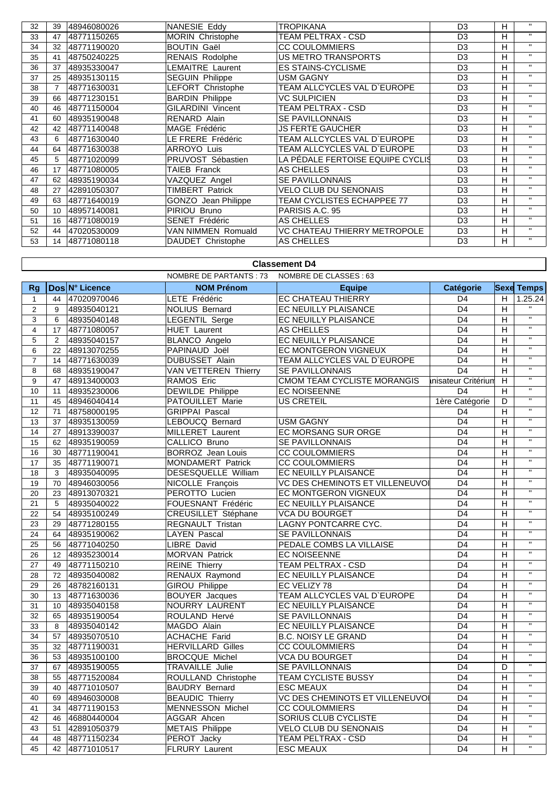| 32 | 39 | 48946080026 | NANESIE Eddy               | TROPIKANA                        | D <sub>3</sub> | н | $\mathbf{H}$ |
|----|----|-------------|----------------------------|----------------------------------|----------------|---|--------------|
| 33 | 47 | 48771150265 | <b>MORIN Christophe</b>    | TEAM PELTRAX - CSD               | D <sub>3</sub> | н | $\mathbf{H}$ |
| 34 | 32 | 48771190020 | <b>BOUTIN Gaël</b>         | <b>CC COULOMMIERS</b>            | D <sub>3</sub> | н | $\mathbf{H}$ |
| 35 | 41 | 48750240225 | <b>RENAIS Rodolphe</b>     | US METRO TRANSPORTS              | D <sub>3</sub> | н | $\mathbf{H}$ |
| 36 | 37 | 48935330047 | <b>LEMAITRE Laurent</b>    | <b>ES STAINS-CYCLISME</b>        | D <sub>3</sub> | н | $\mathbf{u}$ |
| 37 | 25 | 48935130115 | <b>SEGUIN Philippe</b>     | USM GAGNY                        | D <sub>3</sub> | н | $\mathbf{H}$ |
| 38 |    | 48771630031 | LEFORT Christophe          | TEAM ALLCYCLES VAL D`EUROPE      | D <sub>3</sub> | н | $\mathbf{H}$ |
| 39 | 66 | 48771230151 | <b>BARDIN Philippe</b>     | VC SULPICIEN                     | D <sub>3</sub> | н | $\mathbf{H}$ |
| 40 | 46 | 48771150004 | <b>GILARDINI Vincent</b>   | TEAM PELTRAX - CSD               | D <sub>3</sub> | н | $\mathbf{H}$ |
| 41 | 60 | 48935190048 | RENARD Alain               | <b>SE PAVILLONNAIS</b>           | D <sub>3</sub> | н | $\mathbf{u}$ |
| 42 | 42 | 48771140048 | MAGE Frédéric              | <b>JS FERTE GAUCHER</b>          | D <sub>3</sub> | н | $\mathbf{u}$ |
| 43 | 6  | 48771630040 | LE FRERE Frédéric          | TEAM ALLCYCLES VAL D`EUROPE      | D <sub>3</sub> | н | $\mathbf{H}$ |
| 44 | 64 | 48771630038 | <b>ARROYO Luis</b>         | TEAM ALLCYCLES VAL D`EUROPE      | D <sub>3</sub> | н | $\mathbf{H}$ |
| 45 | 5  | 48771020099 | PRUVOST Sébastien          | LA PÉDALE FERTOISE EQUIPE CYCLIS | D <sub>3</sub> | н | $\mathbf{H}$ |
| 46 | 17 | 48771080005 | TAIEB Franck               | AS CHELLES                       | D <sub>3</sub> | н | $\mathbf{H}$ |
| 47 | 62 | 48935190034 | VAZQUEZ Angel              | <b>SE PAVILLONNAIS</b>           | D <sub>3</sub> | н | $\mathbf{u}$ |
| 48 | 27 | 42891050307 | <b>TIMBERT Patrick</b>     | VELO CLUB DU SENONAIS            | D <sub>3</sub> | н | $\mathbf{H}$ |
| 49 | 63 | 48771640019 | <b>GONZO</b> Jean Philippe | TEAM CYCLISTES ECHAPPEE 77       | D <sub>3</sub> | н | $\mathbf{H}$ |
| 50 | 10 | 48957140081 | PIRIOU Bruno               | PARISIS A.C. 95                  | D <sub>3</sub> | н | $\mathbf{H}$ |
| 51 | 16 | 48771080019 | SENET Frédéric             | AS CHELLES                       | D <sub>3</sub> | н | $\mathbf{H}$ |
| 52 | 44 | 47020530009 | VAN NIMMEN Romuald         | VC CHATEAU THIERRY METROPOLE     | D <sub>3</sub> | н | $\mathbf{H}$ |
| 53 | 14 | 48771080118 | DAUDET Christophe          | AS CHELLES                       | D <sub>3</sub> | н | $\mathbf{H}$ |

## **Classement D4**

|                 | NOMBRE DE PARTANTS : 73<br>NOMBRE DE CLASSES : 63 |                |                             |                                    |                     |                |                           |  |
|-----------------|---------------------------------------------------|----------------|-----------------------------|------------------------------------|---------------------|----------------|---------------------------|--|
| Rg              |                                                   | Dos N° Licence | <b>NOM Prénom</b>           | <b>Equipe</b>                      | Catégorie           |                | <b>Sexe Temps</b>         |  |
| $\mathbf{1}$    | 44                                                | 47020970046    | <b>LETE Frédéric</b>        | EC CHATEAU THIERRY                 | D <sub>4</sub>      | H              | $\overline{1.25.24}$      |  |
| 2               | 9                                                 | 48935040121    | <b>NOLIUS Bernard</b>       | EC NEUILLY PLAISANCE               | D <sub>4</sub>      | H              |                           |  |
| $\overline{3}$  | 6                                                 | 48935040148    | LEGENTIL Serge              | EC NEUILLY PLAISANCE               | $\overline{D4}$     | $\overline{H}$ | $\overline{\mathbf{u}}$   |  |
| $\overline{4}$  | 17                                                | 48771080057    | <b>HUET</b> Laurent         | <b>AS CHELLES</b>                  | D <sub>4</sub>      | H              | $\overline{\mathbf{u}}$   |  |
| 5               | $\overline{2}$                                    | 48935040157    | <b>BLANCO Angelo</b>        | <b>EC NEUILLY PLAISANCE</b>        | D <sub>4</sub>      | $\overline{H}$ | $\overline{u}$            |  |
| $\,6$           | 22                                                | 48913070255    | PAPINAUD Joël               | EC MONTGERON VIGNEUX               | $\overline{D4}$     | $\overline{H}$ | $\mathbf{H}$              |  |
| $\overline{7}$  | 14                                                | 48771630039    | DUBUSSET Alain              | TEAM ALLCYCLES VAL D'EUROPE        | D4                  | $\overline{H}$ | $\overline{u}$            |  |
| 8               | 68                                                | 48935190047    | <b>VAN VETTEREN Thierry</b> | <b>SE PAVILLONNAIS</b>             | $\overline{D4}$     | $\overline{H}$ | $\overline{\mathbf{u}}$   |  |
| 9               | 47                                                | 48913400003    | RAMOS Eric                  | <b>CMOM TEAM CYCLISTE MORANGIS</b> | inisateur Critériun | $\overline{H}$ | $\overline{u}$            |  |
| 10              | 11                                                | 48935230006    | <b>DEWILDE Philippe</b>     | <b>EC NOISEENNE</b>                | D <sub>4</sub>      | $\overline{H}$ | $\overline{u}$            |  |
| 11              | 45                                                | 48946040414    | <b>PATOUILLET Marie</b>     | <b>US CRETEIL</b>                  | 1ère Catégorie      | D              | $\overline{u}$            |  |
| 12              | 71                                                | 48758000195    | <b>GRIPPAI Pascal</b>       |                                    | D <sub>4</sub>      | $\overline{H}$ | $\overline{u}$            |  |
| 13              | 37                                                | 48935130059    | LEBOUCQ Bernard             | <b>USM GAGNY</b>                   | D <sub>4</sub>      | $\overline{H}$ | $\overline{\mathbf{u}}$   |  |
| 14              | 27                                                | 48913390037    | <b>MILLERET Laurent</b>     | <b>EC MORSANG SUR ORGE</b>         | D <sub>4</sub>      | $\overline{H}$ | $\overline{\mathbf{u}}$   |  |
| 15              | 62                                                | 48935190059    | CALLICO Bruno               | SE PAVILLONNAIS                    | D <sub>4</sub>      | $\overline{H}$ | $\overline{\mathbf{u}}$   |  |
| 16              | 30                                                | 48771190041    | <b>BORROZ</b> Jean Louis    | <b>CC COULOMMIERS</b>              | D <sub>4</sub>      | H              | $\overline{u}$            |  |
| 17              | 35                                                | 48771190071    | MONDAMERT Patrick           | <b>CC COULOMMIERS</b>              | D <sub>4</sub>      | $\overline{H}$ | $\overline{\mathbf{u}}$   |  |
| $\overline{18}$ | 3                                                 | 48935040095    | DESESQUELLE William         | EC NEUILLY PLAISANCE               | $\overline{D4}$     | $\overline{H}$ | $\overline{u}$            |  |
| 19              | 70                                                | 48946030056    | <b>NICOLLE François</b>     | VC DES CHEMINOTS ET VILLENEUVOI    | $\overline{D4}$     | H              | $\overline{''}$           |  |
| 20              | 23                                                | 48913070321    | PEROTTO Lucien              | EC MONTGERON VIGNEUX               | D <sub>4</sub>      | $\overline{H}$ | $\overline{\mathbf{u}}$   |  |
| 21              | $\sqrt{5}$                                        | 48935040022    | FOUESNANT Frédéric          | EC NEUILLY PLAISANCE               | D <sub>4</sub>      | $\overline{H}$ | $\overline{\mathbf{u}}$   |  |
| 22              | 54                                                | 48935100249    | <b>CREUSILLET Stéphane</b>  | <b>VCA DU BOURGET</b>              | D <sub>4</sub>      | H              | $\overline{\mathbf{u}}$   |  |
| 23              | 29                                                | 48771280155    | REGNAULT Tristan            | LAGNY PONTCARRE CYC.               | D <sub>4</sub>      | $\overline{H}$ | $\overline{\mathbf{u}}$   |  |
| 24              | 64                                                | 48935190062    | <b>LAYEN Pascal</b>         | SE PAVILLONNAIS                    | D <sub>4</sub>      | H              | $\overline{u}$            |  |
| 25              | 56                                                | 48771040250    | <b>LIBRE David</b>          | PEDALE COMBS LA VILLAISE           | D <sub>4</sub>      | H              | $\overline{u}$            |  |
| $\overline{26}$ | 12                                                | 48935230014    | <b>MORVAN Patrick</b>       | <b>EC NOISEENNE</b>                | $\overline{D4}$     | $\overline{H}$ | $\overline{u}$            |  |
| 27              | 49                                                | 48771150210    | <b>REINE Thierry</b>        | <b>TEAM PELTRAX - CSD</b>          | D <sub>4</sub>      | $\overline{H}$ | $\overline{u}$            |  |
| 28              | 72                                                | 48935040082    | RENAUX Raymond              | EC NEUILLY PLAISANCE               | $\overline{D4}$     | H              | $\overline{u}$            |  |
| 29              | 26                                                | 48782160131    | <b>GIROU Philippe</b>       | EC VELIZY 78                       | D4                  | $\overline{H}$ | $\overline{\mathbf{u}}$   |  |
| 30              | 13                                                | 48771630036    | <b>BOUYER</b> Jacques       | TEAM ALLCYCLES VAL D'EUROPE        | D <sub>4</sub>      | H              | $\overline{\mathfrak{n}}$ |  |
| 31              | 10                                                | 48935040158    | NOURRY LAURENT              | <b>EC NEUILLY PLAISANCE</b>        | D <sub>4</sub>      | $\overline{H}$ | $\overline{\mathbf{u}}$   |  |
| 32              | 65                                                | 48935190054    | ROULAND Hervé               | <b>SE PAVILLONNAIS</b>             | $\overline{D4}$     | $\overline{H}$ | $\overline{\mathbf{u}}$   |  |
| 33              | 8                                                 | 48935040142    | MAGDO Alain                 | EC NEUILLY PLAISANCE               | D <sub>4</sub>      | $\overline{H}$ | $\overline{\mathbf{u}}$   |  |
| 34              | 57                                                | 48935070510    | <b>ACHACHE Farid</b>        | <b>B.C. NOISY LE GRAND</b>         | D <sub>4</sub>      | $\overline{H}$ | $\overline{u}$            |  |
| 35              | 32                                                | 48771190031    | <b>HERVILLARD Gilles</b>    | <b>CC COULOMMIERS</b>              | $\overline{D4}$     | $\overline{H}$ | $\overline{u}$            |  |
| 36              | 53                                                | 48935100100    | <b>BROCQUE Michel</b>       | <b>VCA DU BOURGET</b>              | D <sub>4</sub>      | $\overline{H}$ | $\overline{\mathbf{u}}$   |  |
| 37              | 67                                                | 48935190055    | TRAVAILLE Julie             | <b>SE PAVILLONNAIS</b>             | D <sub>4</sub>      | D              | $\overline{u}$            |  |
| 38              | 55                                                | 48771520084    | ROULLAND Christophe         | <b>TEAM CYCLISTE BUSSY</b>         | D <sub>4</sub>      | $\overline{H}$ | $\overline{\mathbf{u}}$   |  |
| 39              | 40                                                | 48771010507    | <b>BAUDRY Bernard</b>       | <b>ESC MEAUX</b>                   | $\overline{D4}$     | $\overline{H}$ | $\overline{\mathbf{u}}$   |  |
| 40              | 69                                                | 48946030008    | <b>BEAUDIC Thierry</b>      | VC DES CHEMINOTS ET VILLENEUVOI    | D <sub>4</sub>      | $\overline{H}$ | $\overline{u}$            |  |
| 41              | 34                                                | 48771190153    | <b>MENNESSON Michel</b>     | <b>CC COULOMMIERS</b>              | D <sub>4</sub>      | H              | $\mathbf{H}$              |  |
| 42              | 46                                                | 46880440004    | AGGAR Ahcen                 | SORIUS CLUB CYCLISTE               | D <sub>4</sub>      | $\overline{H}$ | $\overline{\mathbf{u}}$   |  |
| 43              | 51                                                | 42891050379    | <b>METAIS Philippe</b>      | <b>VELO CLUB DU SENONAIS</b>       | D <sub>4</sub>      | H              | $\overline{\mathbf{u}}$   |  |
| 44              | 48                                                | 48771150234    | <b>PEROT Jacky</b>          | TEAM PELTRAX - CSD                 | D <sub>4</sub>      | H              | $\overline{u}$            |  |
| 45              | 42                                                | 48771010517    | FLRURY Laurent              | <b>ESC MEAUX</b>                   | $\overline{D4}$     | H.             | $\overline{\mathbf{u}}$   |  |